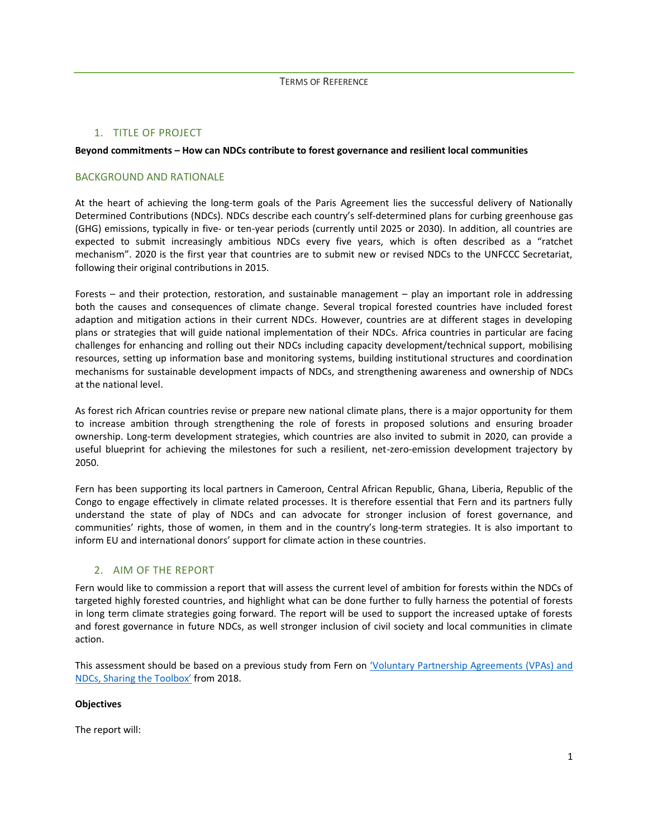### 1. TITLE OF PROJECT

### **Beyond commitments – How can NDCs contribute to forest governance and resilient local communities**

### BACKGROUND AND RATIONALE

At the heart of achieving the long-term goals of the Paris Agreement lies the successful delivery of Nationally Determined Contributions (NDCs). NDCs describe each country's self-determined plans for curbing greenhouse gas (GHG) emissions, typically in five- or ten-year periods (currently until 2025 or 2030). In addition, all countries are expected to submit increasingly ambitious NDCs every five years, which is often described as a "ratchet mechanism". 2020 is the first year that countries are to submit new or revised NDCs to the UNFCCC Secretariat, following their original contributions in 2015.

Forests – and their protection, restoration, and sustainable management – play an important role in addressing both the causes and consequences of climate change. Several tropical forested countries have included forest adaption and mitigation actions in their current NDCs. However, countries are at different stages in developing plans or strategies that will guide national implementation of their NDCs. Africa countries in particular are facing challenges for enhancing and rolling out their NDCs including capacity development/technical support, mobilising resources, setting up information base and monitoring systems, building institutional structures and coordination mechanisms for sustainable development impacts of NDCs, and strengthening awareness and ownership of NDCs at the national level.

As forest rich African countries revise or prepare new national climate plans, there is a major opportunity for them to increase ambition through strengthening the role of forests in proposed solutions and ensuring broader ownership. Long-term development strategies, which countries are also invited to submit in 2020, can provide a useful blueprint for achieving the milestones for such a resilient, net-zero-emission development trajectory by 2050.

Fern has been supporting its local partners in Cameroon, Central African Republic, Ghana, Liberia, Republic of the Congo to engage effectively in climate related processes. It is therefore essential that Fern and its partners fully understand the state of play of NDCs and can advocate for stronger inclusion of forest governance, and communities' rights, those of women, in them and in the country's long-term strategies. It is also important to inform EU and international donors' support for climate action in these countries.

### 2. AIM OF THE REPORT

Fern would like to commission a report that will assess the current level of ambition for forests within the NDCs of targeted highly forested countries, and highlight what can be done further to fully harness the potential of forests in long term climate strategies going forward. The report will be used to support the increased uptake of forests and forest governance in future NDCs, as well stronger inclusion of civil society and local communities in climate action.

This assessment should be based on a previous study from Fern on '[Voluntary Partnership Agreements \(VPAs\)](https://www.fern.org/news-resources/vpas-and-ndcs-sharing-the-toolbox-how-lessons-learned-from-eu-flegt-can-be-put-to-work-for-the-paris-agreement-126/) and [NDCs, Sharing the Toolbox](https://www.fern.org/news-resources/vpas-and-ndcs-sharing-the-toolbox-how-lessons-learned-from-eu-flegt-can-be-put-to-work-for-the-paris-agreement-126/)' from 2018.

### **Objectives**

The report will: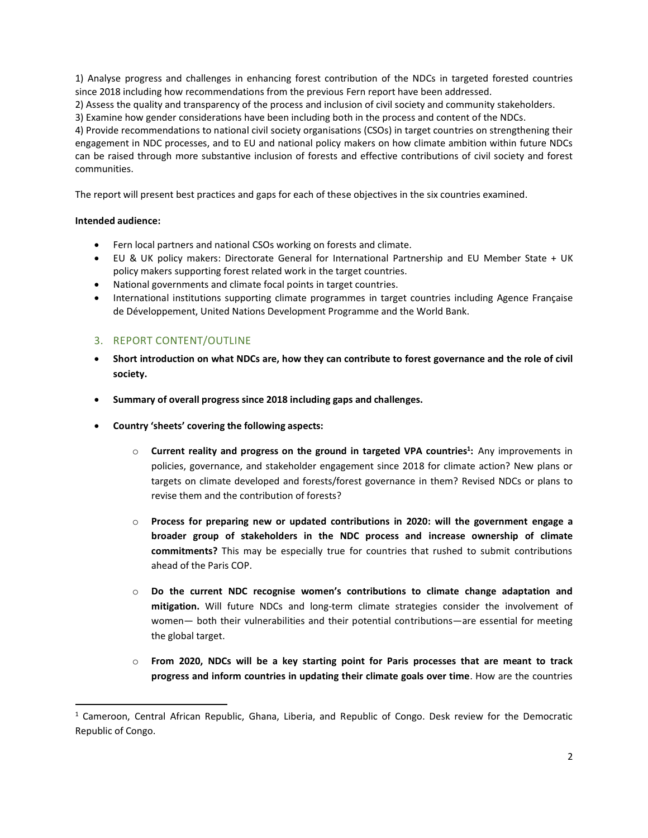1) Analyse progress and challenges in enhancing forest contribution of the NDCs in targeted forested countries since 2018 including how recommendations from the previous Fern report have been addressed.

2) Assess the quality and transparency of the process and inclusion of civil society and community stakeholders.

3) Examine how gender considerations have been including both in the process and content of the NDCs.

4) Provide recommendations to national civil society organisations (CSOs) in target countries on strengthening their engagement in NDC processes, and to EU and national policy makers on how climate ambition within future NDCs can be raised through more substantive inclusion of forests and effective contributions of civil society and forest communities.

The report will present best practices and gaps for each of these objectives in the six countries examined.

### **Intended audience:**

- Fern local partners and national CSOs working on forests and climate.
- EU & UK policy makers: Directorate General for International Partnership and EU Member State + UK policy makers supporting forest related work in the target countries.
- National governments and climate focal points in target countries.
- International institutions supporting climate programmes in target countries including Agence Française de Développement, United Nations Development Programme and the World Bank.

# 3. REPORT CONTENT/OUTLINE

- **Short introduction on what NDCs are, how they can contribute to forest governance and the role of civil society.**
- **Summary of overall progress since 2018 including gaps and challenges.**
- **Country 'sheets' covering the following aspects:**
	- o **Current reality and progress on the ground in targeted VPA countries<sup>1</sup> :** Any improvements in policies, governance, and stakeholder engagement since 2018 for climate action? New plans or targets on climate developed and forests/forest governance in them? Revised NDCs or plans to revise them and the contribution of forests?
	- o **Process for preparing new or updated contributions in 2020: will the government engage a broader group of stakeholders in the NDC process and increase ownership of climate commitments?** This may be especially true for countries that rushed to submit contributions ahead of the Paris COP.
	- o **Do the current NDC recognise women's contributions to climate change adaptation and mitigation.** Will future NDCs and long-term climate strategies consider the involvement of women— both their vulnerabilities and their potential contributions—are essential for meeting the global target.
	- o **From 2020, NDCs will be a key starting point for Paris processes that are meant to track progress and inform countries in updating their climate goals over time**. How are the countries

<sup>1</sup> Cameroon, Central African Republic, Ghana, Liberia, and Republic of Congo. Desk review for the Democratic Republic of Congo.